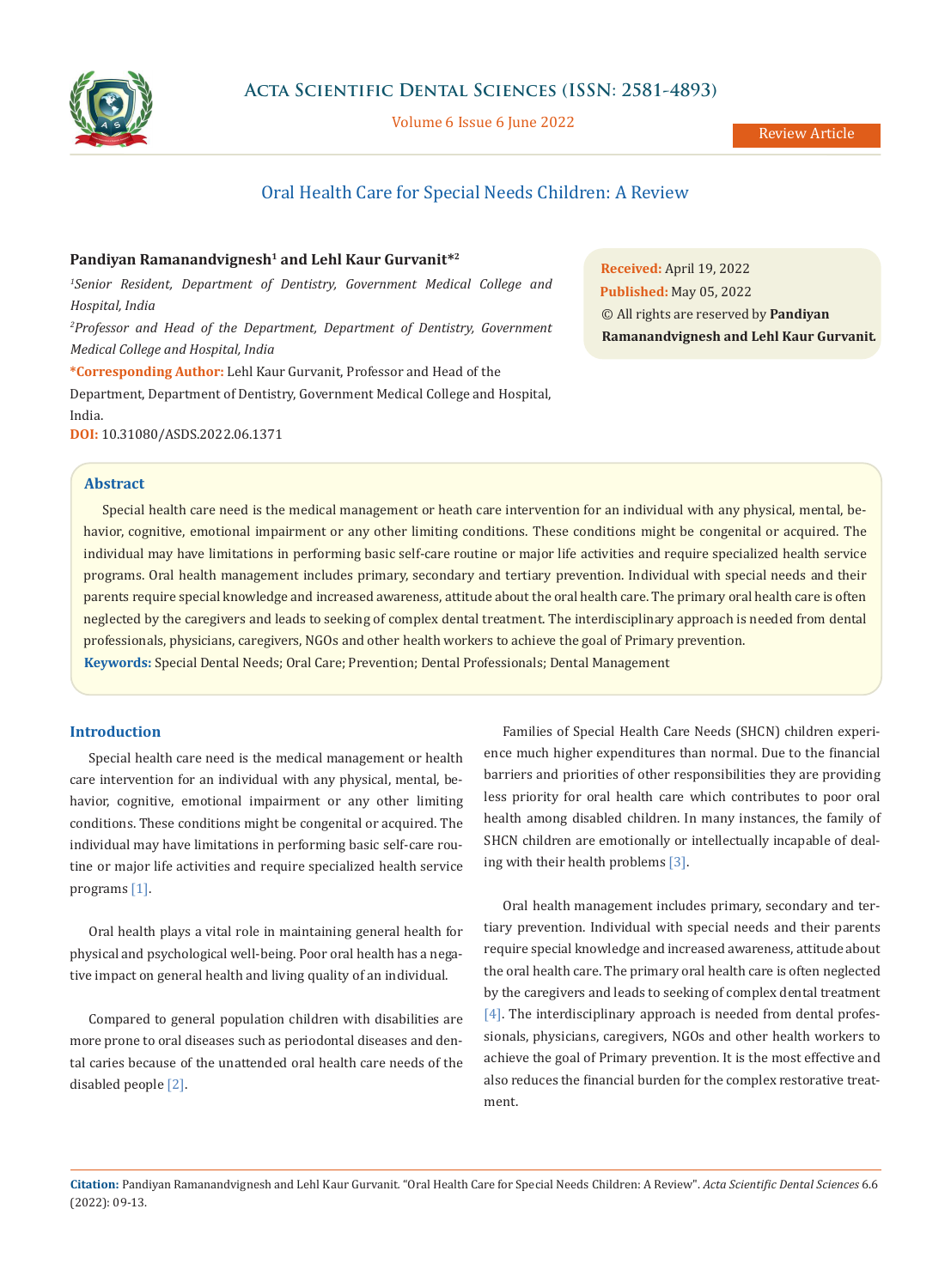

Volume 6 Issue 6 June 2022

# Oral Health Care for Special Needs Children: A Review

# Pandiyan Ramanandvignesh<sup>1</sup> and Lehl Kaur Gurvanit<sup>\*2</sup>

*1 Senior Resident, Department of Dentistry, Government Medical College and Hospital, India*

*2 Professor and Head of the Department, Department of Dentistry, Government Medical College and Hospital, India*

**\*Corresponding Author:** Lehl Kaur Gurvanit, Professor and Head of the

Department, Department of Dentistry, Government Medical College and Hospital, India.

**DOI:** [10.31080/ASDS.2022.06.1371](https://actascientific.com/ASDS/pdf/ASDS-06-1371.pdf)

### **Abstract**

Special health care need is the medical management or heath care intervention for an individual with any physical, mental, behavior, cognitive, emotional impairment or any other limiting conditions. These conditions might be congenital or acquired. The individual may have limitations in performing basic self-care routine or major life activities and require specialized health service programs. Oral health management includes primary, secondary and tertiary prevention. Individual with special needs and their parents require special knowledge and increased awareness, attitude about the oral health care. The primary oral health care is often neglected by the caregivers and leads to seeking of complex dental treatment. The interdisciplinary approach is needed from dental professionals, physicians, caregivers, NGOs and other health workers to achieve the goal of Primary prevention. **Keywords:** Special Dental Needs; Oral Care; Prevention; Dental Professionals; Dental Management

# **Introduction**

Special health care need is the medical management or health care intervention for an individual with any physical, mental, behavior, cognitive, emotional impairment or any other limiting conditions. These conditions might be congenital or acquired. The individual may have limitations in performing basic self-care routine or major life activities and require specialized health service programs [1].

Oral health plays a vital role in maintaining general health for physical and psychological well-being. Poor oral health has a negative impact on general health and living quality of an individual.

Compared to general population children with disabilities are more prone to oral diseases such as periodontal diseases and dental caries because of the unattended oral health care needs of the disabled people [2].

Families of Special Health Care Needs (SHCN) children experience much higher expenditures than normal. Due to the financial barriers and priorities of other responsibilities they are providing less priority for oral health care which contributes to poor oral health among disabled children. In many instances, the family of SHCN children are emotionally or intellectually incapable of dealing with their health problems [3].

Oral health management includes primary, secondary and tertiary prevention. Individual with special needs and their parents require special knowledge and increased awareness, attitude about the oral health care. The primary oral health care is often neglected by the caregivers and leads to seeking of complex dental treatment [4]. The interdisciplinary approach is needed from dental professionals, physicians, caregivers, NGOs and other health workers to achieve the goal of Primary prevention. It is the most effective and also reduces the financial burden for the complex restorative treatment.

**Citation:** Pandiyan Ramanandvignesh and Lehl Kaur Gurvanit*.* "Oral Health Care for Special Needs Children: A Review". *Acta Scientific Dental Sciences* 6.6 (2022): 09-13.

**Received:** April 19, 2022 **Published:** May 05, 2022 © All rights are reserved by **Pandiyan Ramanandvignesh and Lehl Kaur Gurvanit***.*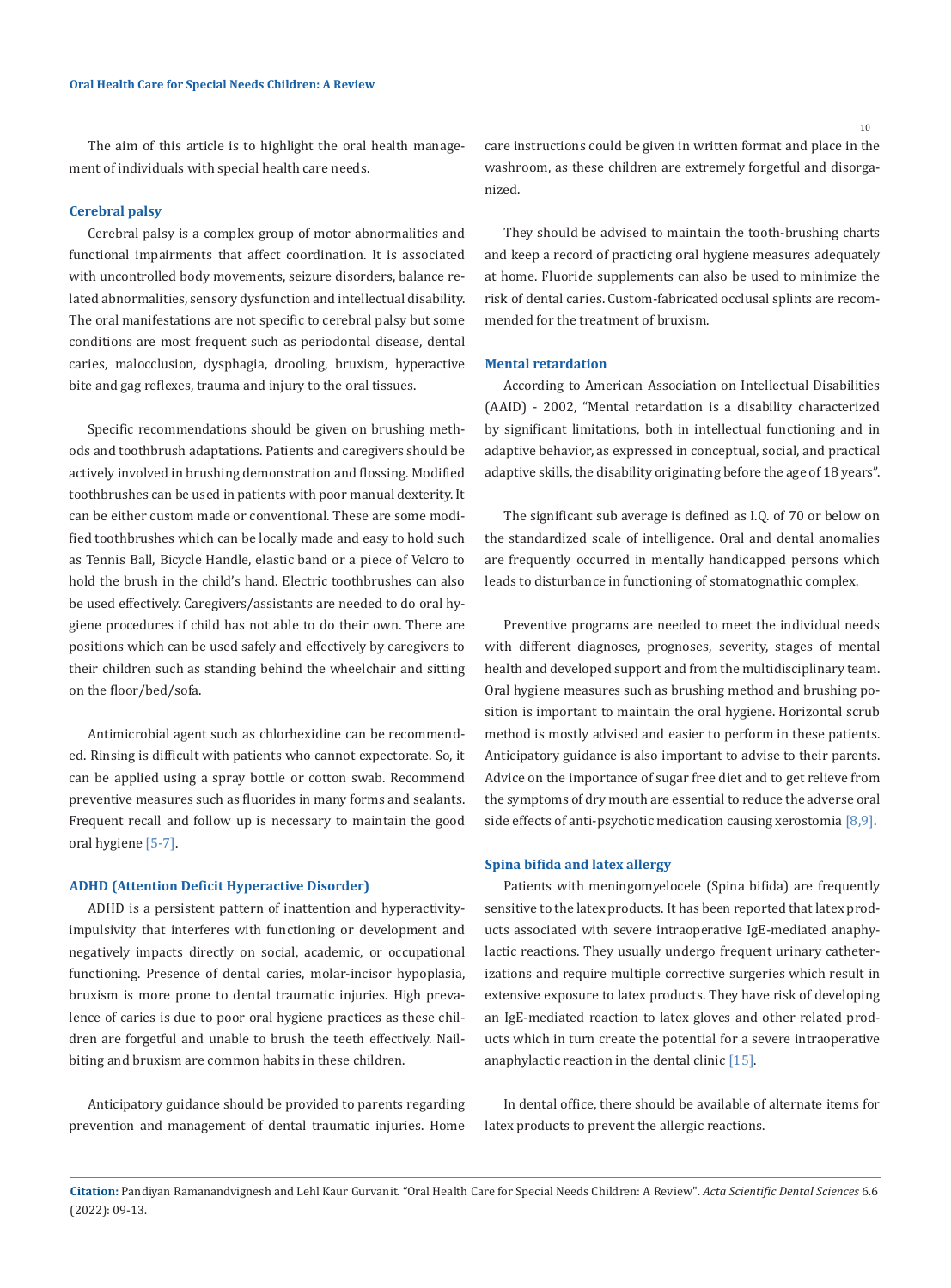The aim of this article is to highlight the oral health management of individuals with special health care needs.

# **Cerebral palsy**

Cerebral palsy is a complex group of motor abnormalities and functional impairments that affect coordination. It is associated with uncontrolled body movements, seizure disorders, balance related abnormalities, sensory dysfunction and intellectual disability. The oral manifestations are not specific to cerebral palsy but some conditions are most frequent such as periodontal disease, dental caries, malocclusion, dysphagia, drooling, bruxism, hyperactive bite and gag reflexes, trauma and injury to the oral tissues.

Specific recommendations should be given on brushing methods and toothbrush adaptations. Patients and caregivers should be actively involved in brushing demonstration and flossing. Modified toothbrushes can be used in patients with poor manual dexterity. It can be either custom made or conventional. These are some modified toothbrushes which can be locally made and easy to hold such as Tennis Ball, Bicycle Handle, elastic band or a piece of Velcro to hold the brush in the child's hand. Electric toothbrushes can also be used effectively. Caregivers/assistants are needed to do oral hygiene procedures if child has not able to do their own. There are positions which can be used safely and effectively by caregivers to their children such as standing behind the wheelchair and sitting on the floor/bed/sofa.

Antimicrobial agent such as chlorhexidine can be recommended. Rinsing is difficult with patients who cannot expectorate. So, it can be applied using a spray bottle or cotton swab. Recommend preventive measures such as fluorides in many forms and sealants. Frequent recall and follow up is necessary to maintain the good oral hygiene [5-7].

#### **ADHD (Attention Deficit Hyperactive Disorder)**

ADHD is a persistent pattern of inattention and hyperactivityimpulsivity that interferes with functioning or development and negatively impacts directly on social, academic, or occupational functioning. Presence of dental caries, molar-incisor hypoplasia, bruxism is more prone to dental traumatic injuries. High prevalence of caries is due to poor oral hygiene practices as these children are forgetful and unable to brush the teeth effectively. Nailbiting and bruxism are common habits in these children.

Anticipatory guidance should be provided to parents regarding prevention and management of dental traumatic injuries. Home care instructions could be given in written format and place in the washroom, as these children are extremely forgetful and disorganized.

They should be advised to maintain the tooth-brushing charts and keep a record of practicing oral hygiene measures adequately at home. Fluoride supplements can also be used to minimize the risk of dental caries. Custom-fabricated occlusal splints are recommended for the treatment of bruxism.

#### **Mental retardation**

According to American Association on Intellectual Disabilities (AAID) - 2002, "Mental retardation is a disability characterized by significant limitations, both in intellectual functioning and in adaptive behavior, as expressed in conceptual, social, and practical adaptive skills, the disability originating before the age of 18 years".

The significant sub average is defined as I.Q. of 70 or below on the standardized scale of intelligence. Oral and dental anomalies are frequently occurred in mentally handicapped persons which leads to disturbance in functioning of stomatognathic complex.

Preventive programs are needed to meet the individual needs with different diagnoses, prognoses, severity, stages of mental health and developed support and from the multidisciplinary team. Oral hygiene measures such as brushing method and brushing position is important to maintain the oral hygiene. Horizontal scrub method is mostly advised and easier to perform in these patients. Anticipatory guidance is also important to advise to their parents. Advice on the importance of sugar free diet and to get relieve from the symptoms of dry mouth are essential to reduce the adverse oral side effects of anti-psychotic medication causing xerostomia [8,9].

#### **Spina bifida and latex allergy**

Patients with meningomyelocele (Spina bifida) are frequently sensitive to the latex products. It has been reported that latex products associated with severe intraoperative IgE-mediated anaphylactic reactions. They usually undergo frequent urinary catheterizations and require multiple corrective surgeries which result in extensive exposure to latex products. They have risk of developing an IgE-mediated reaction to latex gloves and other related products which in turn create the potential for a severe intraoperative anaphylactic reaction in the dental clinic [15].

In dental office, there should be available of alternate items for latex products to prevent the allergic reactions.

**Citation:** Pandiyan Ramanandvignesh and Lehl Kaur Gurvanit*.* "Oral Health Care for Special Needs Children: A Review". *Acta Scientific Dental Sciences* 6.6 (2022): 09-13.

10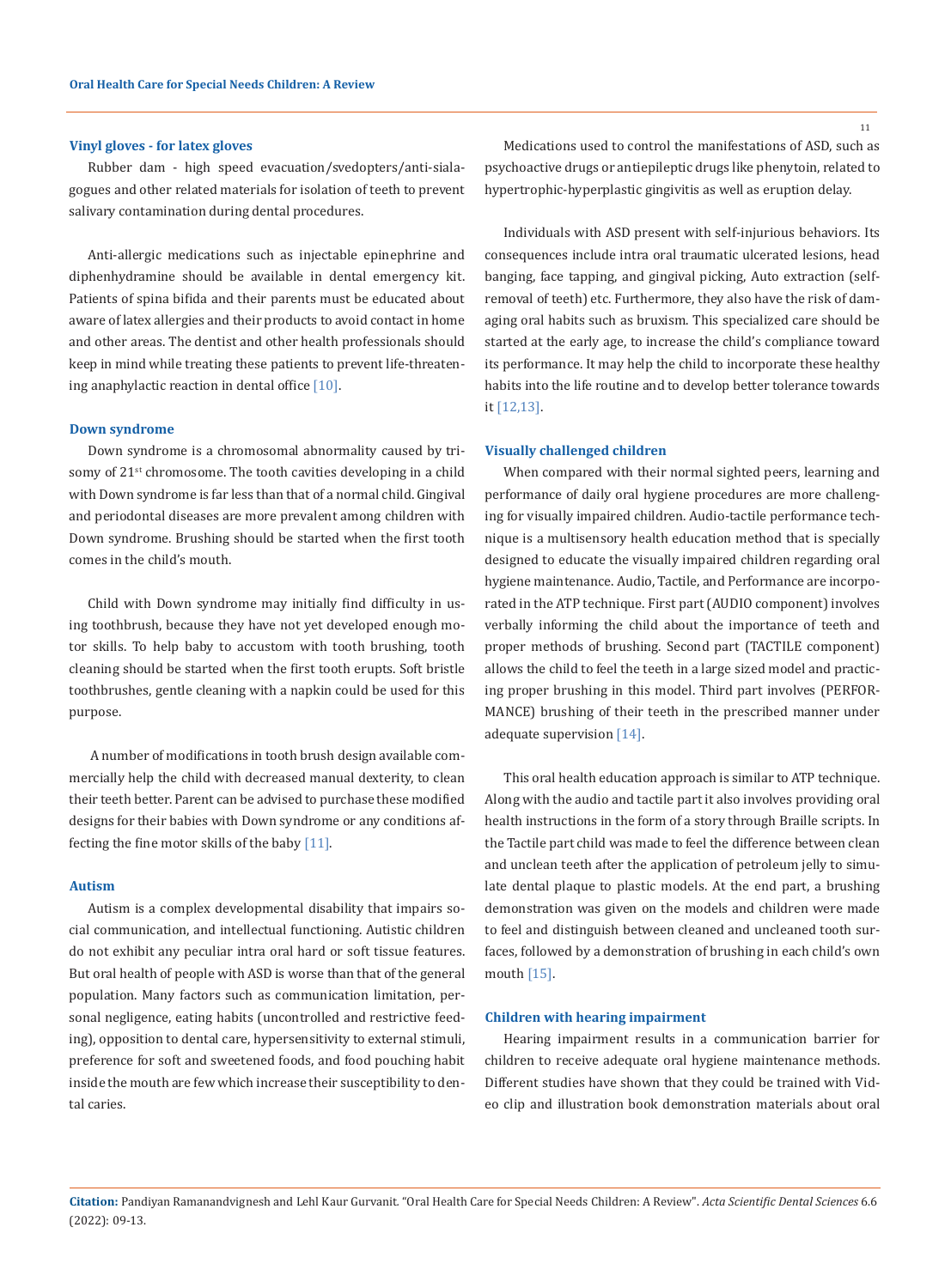#### **Vinyl gloves - for latex gloves**

Rubber dam - high speed evacuation/svedopters/anti-sialagogues and other related materials for isolation of teeth to prevent salivary contamination during dental procedures.

Anti-allergic medications such as injectable epinephrine and diphenhydramine should be available in dental emergency kit. Patients of spina bifida and their parents must be educated about aware of latex allergies and their products to avoid contact in home and other areas. The dentist and other health professionals should keep in mind while treating these patients to prevent life-threatening anaphylactic reaction in dental office [10].

### **Down syndrome**

Down syndrome is a chromosomal abnormality caused by trisomy of  $21^{st}$  chromosome. The tooth cavities developing in a child with Down syndrome is far less than that of a normal child. Gingival and periodontal diseases are more prevalent among children with Down syndrome. Brushing should be started when the first tooth comes in the child's mouth.

Child with Down syndrome may initially find difficulty in using toothbrush, because they have not yet developed enough motor skills. To help baby to accustom with tooth brushing, tooth cleaning should be started when the first tooth erupts. Soft bristle toothbrushes, gentle cleaning with a napkin could be used for this purpose.

 A number of modifications in tooth brush design available commercially help the child with decreased manual dexterity, to clean their teeth better. Parent can be advised to purchase these modified designs for their babies with Down syndrome or any conditions affecting the fine motor skills of the baby [11].

#### **Autism**

Autism is a complex developmental disability that impairs social communication, and intellectual functioning. Autistic children do not exhibit any peculiar intra oral hard or soft tissue features. But oral health of people with ASD is worse than that of the general population. Many factors such as communication limitation, personal negligence, eating habits (uncontrolled and restrictive feeding), opposition to dental care, hypersensitivity to external stimuli, preference for soft and sweetened foods, and food pouching habit inside the mouth are few which increase their susceptibility to dental caries.

11

Medications used to control the manifestations of ASD, such as psychoactive drugs or antiepileptic drugs like phenytoin, related to hypertrophic-hyperplastic gingivitis as well as eruption delay.

Individuals with ASD present with self-injurious behaviors. Its consequences include intra oral traumatic ulcerated lesions, head banging, face tapping, and gingival picking, Auto extraction (selfremoval of teeth) etc. Furthermore, they also have the risk of damaging oral habits such as bruxism. This specialized care should be started at the early age, to increase the child's compliance toward its performance. It may help the child to incorporate these healthy habits into the life routine and to develop better tolerance towards it [12,13].

### **Visually challenged children**

When compared with their normal sighted peers, learning and performance of daily oral hygiene procedures are more challenging for visually impaired children. Audio-tactile performance technique is a multisensory health education method that is specially designed to educate the visually impaired children regarding oral hygiene maintenance. Audio, Tactile, and Performance are incorporated in the ATP technique. First part (AUDIO component) involves verbally informing the child about the importance of teeth and proper methods of brushing. Second part (TACTILE component) allows the child to feel the teeth in a large sized model and practicing proper brushing in this model. Third part involves (PERFOR-MANCE) brushing of their teeth in the prescribed manner under adequate supervision [14].

This oral health education approach is similar to ATP technique. Along with the audio and tactile part it also involves providing oral health instructions in the form of a story through Braille scripts. In the Tactile part child was made to feel the difference between clean and unclean teeth after the application of petroleum jelly to simulate dental plaque to plastic models. At the end part, a brushing demonstration was given on the models and children were made to feel and distinguish between cleaned and uncleaned tooth surfaces, followed by a demonstration of brushing in each child's own mouth [15].

## **Children with hearing impairment**

Hearing impairment results in a communication barrier for children to receive adequate oral hygiene maintenance methods. Different studies have shown that they could be trained with Video clip and illustration book demonstration materials about oral

**Citation:** Pandiyan Ramanandvignesh and Lehl Kaur Gurvanit*.* "Oral Health Care for Special Needs Children: A Review". *Acta Scientific Dental Sciences* 6.6 (2022): 09-13.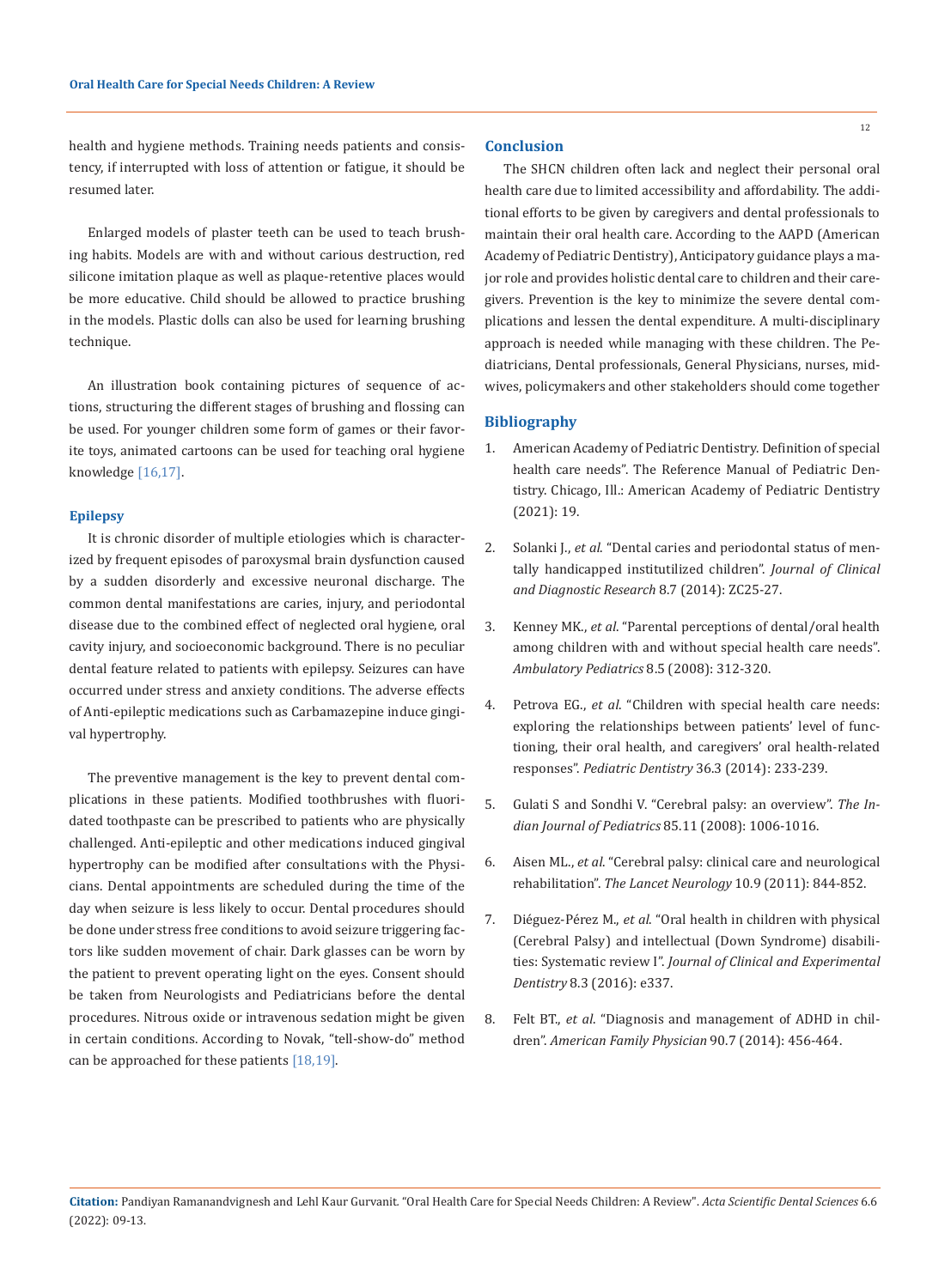health and hygiene methods. Training needs patients and consistency, if interrupted with loss of attention or fatigue, it should be resumed later.

Enlarged models of plaster teeth can be used to teach brushing habits. Models are with and without carious destruction, red silicone imitation plaque as well as plaque-retentive places would be more educative. Child should be allowed to practice brushing in the models. Plastic dolls can also be used for learning brushing technique.

An illustration book containing pictures of sequence of actions, structuring the different stages of brushing and flossing can be used. For younger children some form of games or their favorite toys, animated cartoons can be used for teaching oral hygiene knowledge [16,17].

## **Epilepsy**

It is chronic disorder of multiple etiologies which is characterized by frequent episodes of paroxysmal brain dysfunction caused by a sudden disorderly and excessive neuronal discharge. The common dental manifestations are caries, injury, and periodontal disease due to the combined effect of neglected oral hygiene, oral cavity injury, and socioeconomic background. There is no peculiar dental feature related to patients with epilepsy. Seizures can have occurred under stress and anxiety conditions. The adverse effects of Anti-epileptic medications such as Carbamazepine induce gingival hypertrophy.

The preventive management is the key to prevent dental complications in these patients. Modified toothbrushes with fluoridated toothpaste can be prescribed to patients who are physically challenged. Anti-epileptic and other medications induced gingival hypertrophy can be modified after consultations with the Physicians. Dental appointments are scheduled during the time of the day when seizure is less likely to occur. Dental procedures should be done under stress free conditions to avoid seizure triggering factors like sudden movement of chair. Dark glasses can be worn by the patient to prevent operating light on the eyes. Consent should be taken from Neurologists and Pediatricians before the dental procedures. Nitrous oxide or intravenous sedation might be given in certain conditions. According to Novak, "tell-show-do" method can be approached for these patients [18,19].

## **Conclusion**

The SHCN children often lack and neglect their personal oral health care due to limited accessibility and affordability. The additional efforts to be given by caregivers and dental professionals to maintain their oral health care. According to the AAPD (American Academy of Pediatric Dentistry), Anticipatory guidance plays a major role and provides holistic dental care to children and their caregivers. Prevention is the key to minimize the severe dental complications and lessen the dental expenditure. A multi-disciplinary approach is needed while managing with these children. The Pediatricians, Dental professionals, General Physicians, nurses, midwives, policymakers and other stakeholders should come together

# **Bibliography**

- 1. [American Academy of Pediatric Dentistry. Definition of special](https://www.aapd.org/research/oral-health-policies--recommendations/special-health-care-needs/)  [health care needs". The Reference Manual of Pediatric Den](https://www.aapd.org/research/oral-health-policies--recommendations/special-health-care-needs/)[tistry. Chicago, Ill.: American Academy of Pediatric Dentistry](https://www.aapd.org/research/oral-health-policies--recommendations/special-health-care-needs/)  [\(2021\): 19.](https://www.aapd.org/research/oral-health-policies--recommendations/special-health-care-needs/)
- 2. Solanki J., *et al*[. "Dental caries and periodontal status of men](https://pubmed.ncbi.nlm.nih.gov/25177632/)[tally handicapped institutilized children".](https://pubmed.ncbi.nlm.nih.gov/25177632/) *Journal of Clinical [and Diagnostic Research](https://pubmed.ncbi.nlm.nih.gov/25177632/)* 8.7 (2014): ZC25-27.
- 3. Kenney MK., *et al*[. "Parental perceptions of dental/oral health](https://pubmed.ncbi.nlm.nih.gov/18922505/)  [among children with and without special health care needs".](https://pubmed.ncbi.nlm.nih.gov/18922505/)  *[Ambulatory Pediatrics](https://pubmed.ncbi.nlm.nih.gov/18922505/)* 8.5 (2008): 312-320.
- 4. Petrova EG., *et al*[. "Children with special health care needs:](https://pubmed.ncbi.nlm.nih.gov/24960391/)  [exploring the relationships between patients' level of func](https://pubmed.ncbi.nlm.nih.gov/24960391/)[tioning, their oral health, and caregivers' oral health-related](https://pubmed.ncbi.nlm.nih.gov/24960391/)  responses". *[Pediatric Dentistry](https://pubmed.ncbi.nlm.nih.gov/24960391/)* 36.3 (2014): 233-239.
- 5. [Gulati S and Sondhi V. "Cerebral palsy: an overview".](https://pubmed.ncbi.nlm.nih.gov/29152685/) *The In[dian Journal of Pediatrics](https://pubmed.ncbi.nlm.nih.gov/29152685/)* 85.11 (2008): 1006-1016.
- 6. Aisen ML., *et al*[. "Cerebral palsy: clinical care and neurological](https://pubmed.ncbi.nlm.nih.gov/21849165/)  rehabilitation". *[The Lancet Neurology](https://pubmed.ncbi.nlm.nih.gov/21849165/)* 10.9 (2011): 844-852.
- 7. Diéguez-Pérez M., *et al*[. "Oral health in children with physical](https://pubmed.ncbi.nlm.nih.gov/27398187/)  [\(Cerebral Palsy\) and intellectual \(Down Syndrome\) disabili](https://pubmed.ncbi.nlm.nih.gov/27398187/)ties: Systematic review I". *[Journal of Clinical and Experimental](https://pubmed.ncbi.nlm.nih.gov/27398187/)  Dentistry* [8.3 \(2016\): e337.](https://pubmed.ncbi.nlm.nih.gov/27398187/)
- 8. Felt BT., *et al*[. "Diagnosis and management of ADHD in chil](https://pubmed.ncbi.nlm.nih.gov/25369623/)dren". *[American Family Physician](https://pubmed.ncbi.nlm.nih.gov/25369623/)* 90.7 (2014): 456-464.